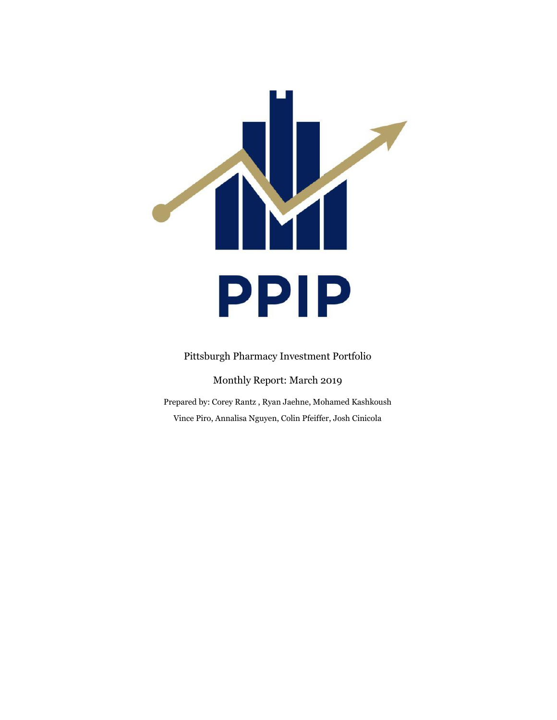

Pittsburgh Pharmacy Investment Portfolio

Monthly Report: March 2019

Prepared by: Corey Rantz , Ryan Jaehne, Mohamed Kashkoush Vince Piro, Annalisa Nguyen, Colin Pfeiffer, Josh Cinicola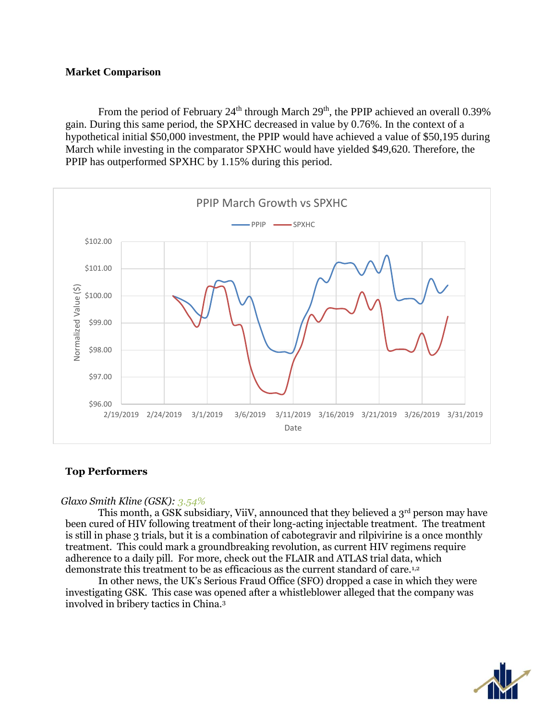## **Market Comparison**

From the period of February  $24<sup>th</sup>$  through March  $29<sup>th</sup>$ , the PPIP achieved an overall 0.39% gain. During this same period, the SPXHC decreased in value by 0.76%. In the context of a hypothetical initial \$50,000 investment, the PPIP would have achieved a value of \$50,195 during March while investing in the comparator SPXHC would have yielded \$49,620. Therefore, the PPIP has outperformed SPXHC by 1.15% during this period.



# **Top Performers**

### *Glaxo Smith Kline (GSK): 3.54%*

This month, a GSK subsidiary, ViiV, announced that they believed a 3<sup>rd</sup> person may have been cured of HIV following treatment of their long-acting injectable treatment. The treatment is still in phase 3 trials, but it is a combination of cabotegravir and rilpivirine is a once monthly treatment. This could mark a groundbreaking revolution, as current HIV regimens require adherence to a daily pill. For more, check out the FLAIR and ATLAS trial data, which demonstrate this treatment to be as efficacious as the current standard of care.<sup>1,2</sup>

In other news, the UK's Serious Fraud Office (SFO) dropped a case in which they were investigating GSK. This case was opened after a whistleblower alleged that the company was involved in bribery tactics in China.<sup>3</sup>

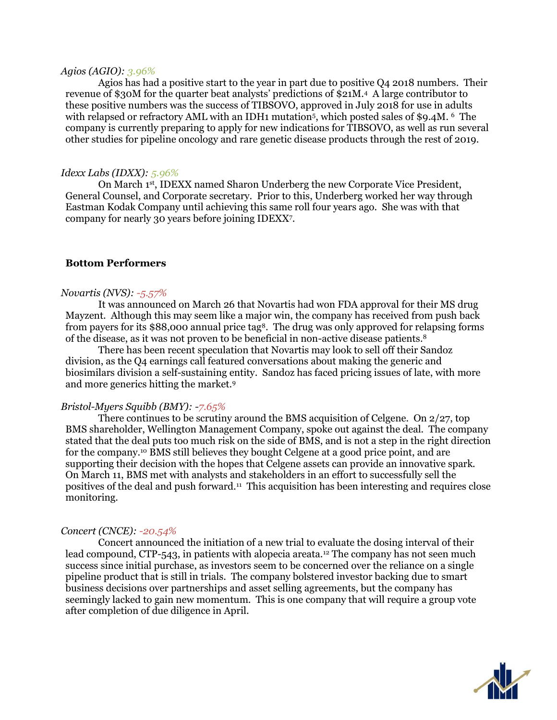### *Agios (AGIO): 3.96%*

Agios has had a positive start to the year in part due to positive Q4 2018 numbers. Their revenue of \$30M for the quarter beat analysts' predictions of \$21M.<sup>4</sup> A large contributor to these positive numbers was the success of TIBSOVO, approved in July 2018 for use in adults with relapsed or refractory AML with an IDH1 mutation<sup>5</sup>, which posted sales of \$9.4M. <sup>6</sup> The company is currently preparing to apply for new indications for TIBSOVO, as well as run several other studies for pipeline oncology and rare genetic disease products through the rest of 2019.

#### *Idexx Labs (IDXX): 5.96%*

On March 1st, IDEXX named Sharon Underberg the new Corporate Vice President, General Counsel, and Corporate secretary. Prior to this, Underberg worked her way through Eastman Kodak Company until achieving this same roll four years ago. She was with that company for nearly 30 years before joining IDEXX<sup>7</sup> .

#### **Bottom Performers**

#### *Novartis (NVS): -5.57%*

It was announced on March 26 that Novartis had won FDA approval for their MS drug Mayzent. Although this may seem like a major win, the company has received from push back from payers for its \$88,000 annual price tag<sup>8</sup>. The drug was only approved for relapsing forms of the disease, as it was not proven to be beneficial in non-active disease patients.<sup>8</sup>

There has been recent speculation that Novartis may look to sell off their Sandoz division, as the Q4 earnings call featured conversations about making the generic and biosimilars division a self-sustaining entity. Sandoz has faced pricing issues of late, with more and more generics hitting the market.<sup>9</sup>

### *Bristol-Myers Squibb (BMY): -7.65%*

There continues to be scrutiny around the BMS acquisition of Celgene. On 2/27, top BMS shareholder, Wellington Management Company, spoke out against the deal. The company stated that the deal puts too much risk on the side of BMS, and is not a step in the right direction for the company.<sup>10</sup> BMS still believes they bought Celgene at a good price point, and are supporting their decision with the hopes that Celgene assets can provide an innovative spark. On March 11, BMS met with analysts and stakeholders in an effort to successfully sell the positives of the deal and push forward.<sup>11</sup> This acquisition has been interesting and requires close monitoring.

#### *Concert (CNCE): -20.54%*

Concert announced the initiation of a new trial to evaluate the dosing interval of their lead compound, CTP-543, in patients with alopecia areata.<sup>12</sup> The company has not seen much success since initial purchase, as investors seem to be concerned over the reliance on a single pipeline product that is still in trials. The company bolstered investor backing due to smart business decisions over partnerships and asset selling agreements, but the company has seemingly lacked to gain new momentum. This is one company that will require a group vote after completion of due diligence in April.